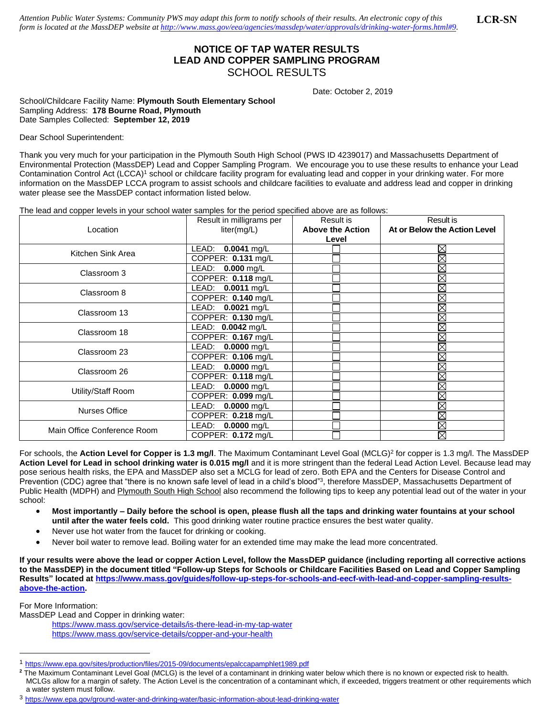*Attention Public Water Systems: Community PWS may adapt this form to notify schools of their results. An electronic copy of this form is located at the MassDEP website a[t http://www.mass.gov/eea/agencies/massdep/water/approvals/drinking-water-forms.html#9.](http://www.mass.gov/eea/agencies/massdep/water/approvals/drinking-water-forms.html#9)*  **LCR-SN**

## **NOTICE OF TAP WATER RESULTS LEAD AND COPPER SAMPLING PROGRAM** SCHOOL RESULTS

Date: October 2, 2019

School/Childcare Facility Name: **Plymouth South Elementary School** Sampling Address: **178 Bourne Road, Plymouth** Date Samples Collected: **September 12, 2019**

Dear School Superintendent:

Thank you very much for your participation in the Plymouth South High School (PWS ID 4239017) and Massachusetts Department of Environmental Protection (MassDEP) Lead and Copper Sampling Program. We encourage you to use these results to enhance your Lead Contamination Control Act (LCCA)<sup>1</sup> school or childcare facility program for evaluating lead and copper in your drinking water. For more information on the MassDEP LCCA program to assist schools and childcare facilities to evaluate and address lead and copper in drinking water please see the MassDEP contact information listed below.

The lead and copper levels in your school water samples for the period specified above are as follows:

| Location                    | Result in milligrams per | Result is               | Result is                    |
|-----------------------------|--------------------------|-------------------------|------------------------------|
|                             | liter(mg/L)              | <b>Above the Action</b> | At or Below the Action Level |
|                             |                          | Level                   |                              |
| Kitchen Sink Area           | $0.0041$ mg/L<br>LEAD:   |                         | $\boxtimes$                  |
|                             | COPPER: 0.131 mg/L       |                         | $\overline{\boxtimes}$       |
| Classroom 3                 | LEAD: 0.000 mg/L         |                         | $\boxtimes$                  |
|                             | COPPER: 0.118 mg/L       |                         | Ø                            |
| Classroom 8                 | LEAD: 0.0011 mg/L        |                         | X                            |
|                             | COPPER: 0.140 mg/L       |                         | Ø                            |
| Classroom 13                | LEAD: 0.0021 mg/L        |                         | X                            |
|                             | COPPER: 0.130 mg/L       |                         | $\boxtimes$                  |
| Classroom 18                | LEAD: 0.0042 mg/L        |                         | $\boxtimes$                  |
|                             | COPPER: 0.167 mg/L       |                         | $\boxtimes$                  |
| Classroom 23                | LEAD: 0.0000 mg/L        |                         | X                            |
|                             | COPPER: $0.106$ mg/L     |                         | $\overline{\boxtimes}$       |
| Classroom 26                | LEAD: 0.0000 mg/L        |                         | $\boxtimes$                  |
|                             | COPPER: 0.118 mg/L       |                         | $\boxtimes$                  |
| Utility/Staff Room          | LEAD: 0.0000 mg/L        |                         | $\boxtimes$                  |
|                             | COPPER: 0.099 mg/L       |                         | X                            |
| <b>Nurses Office</b>        | LEAD: 0.0000 mg/L        |                         | ⊠                            |
|                             | COPPER: 0.218 mg/L       |                         | $\boxtimes$                  |
| Main Office Conference Room | LEAD:<br>$0.0000$ mg/L   |                         | $\overline{\boxtimes}$       |
|                             | COPPER: 0.172 mg/L       |                         | ⊠                            |

For schools, the Action Level for Copper is 1.3 mg/l. The Maximum Contaminant Level Goal (MCLG)<sup>2</sup> for copper is 1.3 mg/l. The MassDEP **Action Level for Lead in school drinking water is 0.015 mg/l** and it is more stringent than the federal Lead Action Level. Because lead may pose serious health risks, the EPA and MassDEP also set a MCLG for lead of zero. Both EPA and the Centers for Disease Control and Prevention (CDC) agree that "there is no known safe level of lead in a child's blood"<sup>3</sup>, therefore MassDEP, Massachusetts Department of Public Health (MDPH) and Plymouth South High School also recommend the following tips to keep any potential lead out of the water in your school:

- **Most importantly – Daily before the school is open, please flush all the taps and drinking water fountains at your school until after the water feels cold.** This good drinking water routine practice ensures the best water quality.
- Never use hot water from the faucet for drinking or cooking.
- Never boil water to remove lead. Boiling water for an extended time may make the lead more concentrated.

**If your results were above the lead or copper Action Level, follow the MassDEP guidance (including reporting all corrective actions to the MassDEP) in the document titled "Follow-up Steps for Schools or Childcare Facilities Based on Lead and Copper Sampling Results" located a[t https://www.mass.gov/guides/follow-up-steps-for-schools-and-eecf-with-lead-and-copper-sampling-results](https://www.mass.gov/guides/follow-up-steps-for-schools-and-eecf-with-lead-and-copper-sampling-results-above-the-action)[above-the-action.](https://www.mass.gov/guides/follow-up-steps-for-schools-and-eecf-with-lead-and-copper-sampling-results-above-the-action)** 

For More Information:

MassDEP Lead and Copper in drinking water:

<https://www.mass.gov/service-details/is-there-lead-in-my-tap-water> <https://www.mass.gov/service-details/copper-and-your-health>

<sup>1</sup> <https://www.epa.gov/sites/production/files/2015-09/documents/epalccapamphlet1989.pdf>

<sup>&</sup>lt;sup>2</sup> The Maximum Contaminant Level Goal (MCLG) is the level of a contaminant in drinking water below which there is no known or expected risk to health. MCLGs allow for a margin of safety. The Action Level is the concentration of a contaminant which, if exceeded, triggers treatment or other requirements which a water system must follow.

<sup>3</sup> <https://www.epa.gov/ground-water-and-drinking-water/basic-information-about-lead-drinking-water>